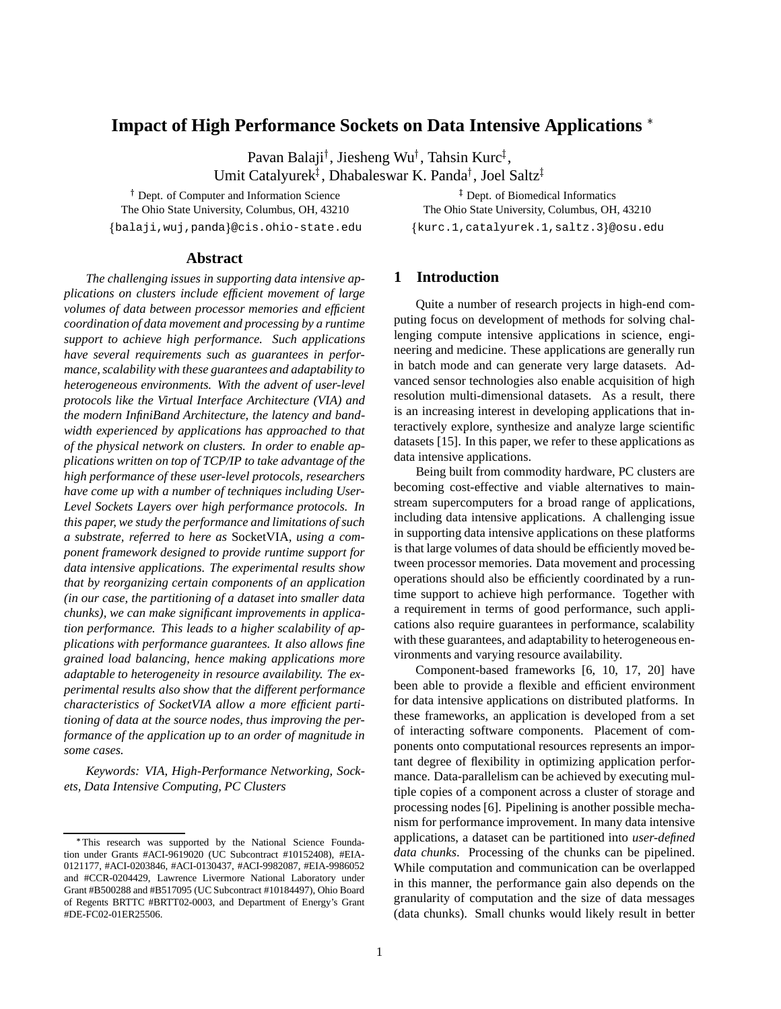# **Impact of High Performance Sockets on Data Intensive Applications**

Pavan Balaji<sup>†</sup>, Jiesheng Wu<sup>†</sup>, Tahsin Kurc<sup>‡</sup>,

Umit Catalyurek<sup>‡</sup>, Dhabaleswar K. Panda<sup>†</sup>, Joel Saltz

<sup>†</sup> Dept. of Computer and Information Science The Ohio State University, Columbus, OH, 43210

balaji,wuj,panda @cis.ohio-state.edu

<sup>‡</sup> Dept. of Biomedical Informatics The Ohio State University, Columbus, OH, 43210 kurc.1,catalyurek.1,saltz.3 @osu.edu

## **Abstract**

*The challenging issues in supporting data intensive applications on clusters include efficient movement of large volumes of data between processor memories and efficient coordination of data movement and processing by a runtime support to achieve high performance. Such applications have several requirements such as guarantees in performance,scalability with these guarantees and adaptability to heterogeneous environments. With the advent of user-level protocols like the Virtual Interface Architecture (VIA) and the modern InfiniBand Architecture, the latency and bandwidth experienced by applications has approached to that of the physical network on clusters. In order to enable applications written on top of TCP/IP to take advantage of the high performance of these user-level protocols, researchers have come up with a number of techniques including User-Level Sockets Layers over high performance protocols. In this paper, we study the performance and limitations of such a substrate, referred to here as* SocketVIA*, using a component framework designed to provide runtime support for data intensive applications. The experimental results show that by reorganizing certain components of an application (in our case, the partitioning of a dataset into smaller data chunks), we can make significant improvements in application performance. This leads to a higher scalability of applications with performance guarantees. It also allows fine grained load balancing, hence making applications more adaptable to heterogeneity in resource availability. The experimental results also show that the different performance characteristics of SocketVIA allow a more efficient partitioning of data at the source nodes, thus improving the performance of the application up to an order of magnitude in some cases.*

*Keywords: VIA, High-Performance Networking, Sockets, Data Intensive Computing, PC Clusters*

### **1 Introduction**

Quite a number of research projects in high-end computing focus on development of methods for solving challenging compute intensive applications in science, engineering and medicine. These applications are generally run in batch mode and can generate very large datasets. Advanced sensor technologies also enable acquisition of high resolution multi-dimensional datasets. As a result, there is an increasing interest in developing applications that interactively explore, synthesize and analyze large scientific datasets [15]. In this paper, we refer to these applications as data intensive applications.

Being built from commodity hardware, PC clusters are becoming cost-effective and viable alternatives to mainstream supercomputers for a broad range of applications, including data intensive applications. A challenging issue in supporting data intensive applications on these platforms is that large volumes of data should be efficiently moved between processor memories. Data movement and processing operations should also be efficiently coordinated by a runtime support to achieve high performance. Together with a requirement in terms of good performance, such applications also require guarantees in performance, scalability with these guarantees, and adaptability to heterogeneous environments and varying resource availability.

Component-based frameworks [6, 10, 17, 20] have been able to provide a flexible and efficient environment for data intensive applications on distributed platforms. In these frameworks, an application is developed from a set of interacting software components. Placement of components onto computational resources represents an important degree of flexibility in optimizing application performance. Data-parallelism can be achieved by executing multiple copies of a component across a cluster of storage and processing nodes [6]. Pipelining is another possible mechanism for performance improvement. In many data intensive applications, a dataset can be partitioned into *user-defined data chunks*. Processing of the chunks can be pipelined. While computation and communication can be overlapped in this manner, the performance gain also depends on the granularity of computation and the size of data messages (data chunks). Small chunks would likely result in better

This research was supported by the National Science Foundation under Grants #ACI-9619020 (UC Subcontract #10152408), #EIA-0121177, #ACI-0203846, #ACI-0130437, #ACI-9982087, #EIA-9986052 and #CCR-0204429, Lawrence Livermore National Laboratory under Grant #B500288 and #B517095 (UC Subcontract #10184497), Ohio Board of Regents BRTTC #BRTT02-0003, and Department of Energy's Grant #DE-FC02-01ER25506.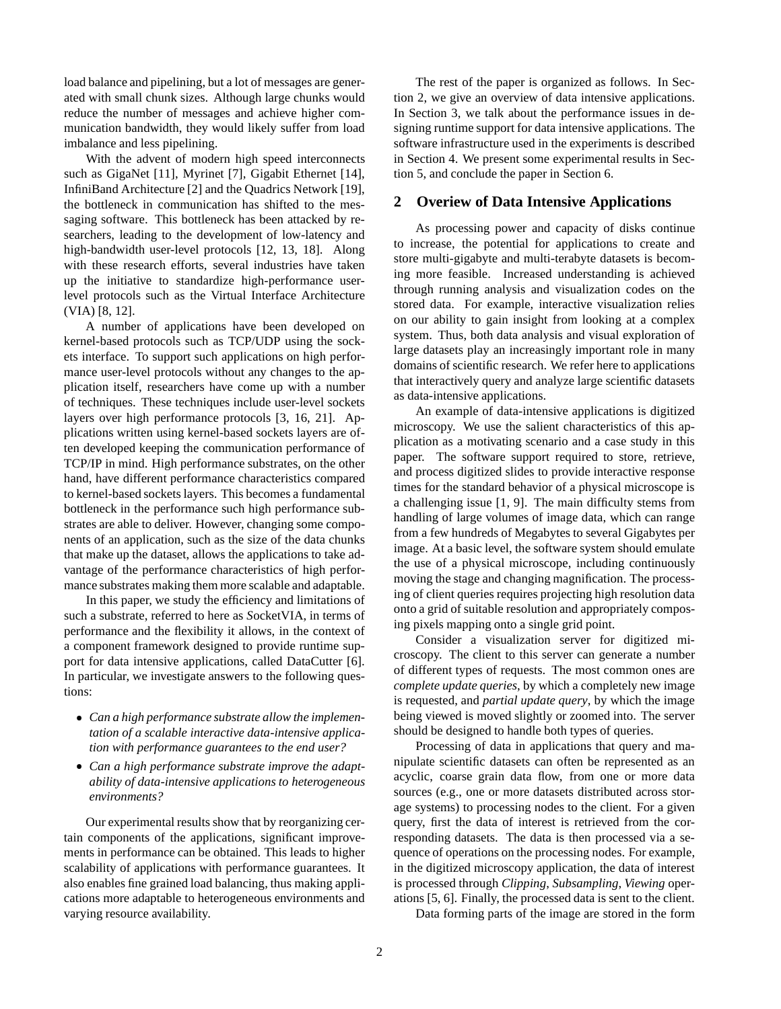load balance and pipelining, but a lot of messages are generated with small chunk sizes. Although large chunks would reduce the number of messages and achieve higher communication bandwidth, they would likely suffer from load imbalance and less pipelining.

With the advent of modern high speed interconnects such as GigaNet [11], Myrinet [7], Gigabit Ethernet [14], InfiniBand Architecture [2] and the Quadrics Network [19], the bottleneck in communication has shifted to the messaging software. This bottleneck has been attacked by researchers, leading to the development of low-latency and high-bandwidth user-level protocols [12, 13, 18]. Along with these research efforts, several industries have taken up the initiative to standardize high-performance userlevel protocols such as the Virtual Interface Architecture (VIA) [8, 12].

A number of applications have been developed on kernel-based protocols such as TCP/UDP using the sockets interface. To support such applications on high performance user-level protocols without any changes to the application itself, researchers have come up with a number of techniques. These techniques include user-level sockets layers over high performance protocols [3, 16, 21]. Applications written using kernel-based sockets layers are often developed keeping the communication performance of TCP/IP in mind. High performance substrates, on the other hand, have different performance characteristics compared to kernel-based sockets layers. This becomes a fundamental bottleneck in the performance such high performance substrates are able to deliver. However, changing some components of an application, such as the size of the data chunks that make up the dataset, allows the applications to take advantage of the performance characteristics of high performance substrates making them more scalable and adaptable.

In this paper, we study the efficiency and limitations of such a substrate, referred to here as *S*ocketVIA, in terms of performance and the flexibility it allows, in the context of a component framework designed to provide runtime support for data intensive applications, called DataCutter [6]. In particular, we investigate answers to the following questions:

- *Can a high performance substrate allow the implementation of a scalable interactive data-intensive application with performance guarantees to the end user?*
- *Can a high performance substrate improve the adaptability of data-intensive applications to heterogeneous environments?*

Our experimental results show that by reorganizing certain components of the applications, significant improvements in performance can be obtained. This leads to higher scalability of applications with performance guarantees. It also enables fine grained load balancing, thus making applications more adaptable to heterogeneous environments and varying resource availability.

The rest of the paper is organized as follows. In Section 2, we give an overview of data intensive applications. In Section 3, we talk about the performance issues in designing runtime support for data intensive applications. The software infrastructure used in the experiments is described in Section 4. We present some experimental results in Section 5, and conclude the paper in Section 6.

## **2 Overiew of Data Intensive Applications**

As processing power and capacity of disks continue to increase, the potential for applications to create and store multi-gigabyte and multi-terabyte datasets is becoming more feasible. Increased understanding is achieved through running analysis and visualization codes on the stored data. For example, interactive visualization relies on our ability to gain insight from looking at a complex system. Thus, both data analysis and visual exploration of large datasets play an increasingly important role in many domains of scientific research. We refer here to applications that interactively query and analyze large scientific datasets as data-intensive applications.

An example of data-intensive applications is digitized microscopy. We use the salient characteristics of this application as a motivating scenario and a case study in this paper. The software support required to store, retrieve, and process digitized slides to provide interactive response times for the standard behavior of a physical microscope is a challenging issue [1, 9]. The main difficulty stems from handling of large volumes of image data, which can range from a few hundreds of Megabytes to several Gigabytes per image. At a basic level, the software system should emulate the use of a physical microscope, including continuously moving the stage and changing magnification. The processing of client queries requires projecting high resolution data onto a grid of suitable resolution and appropriately composing pixels mapping onto a single grid point.

Consider a visualization server for digitized microscopy. The client to this server can generate a number of different types of requests. The most common ones are *complete update queries*, by which a completely new image is requested, and *partial update query*, by which the image being viewed is moved slightly or zoomed into. The server should be designed to handle both types of queries.

Processing of data in applications that query and manipulate scientific datasets can often be represented as an acyclic, coarse grain data flow, from one or more data sources (e.g., one or more datasets distributed across storage systems) to processing nodes to the client. For a given query, first the data of interest is retrieved from the corresponding datasets. The data is then processed via a sequence of operations on the processing nodes. For example, in the digitized microscopy application, the data of interest is processed through *Clipping*, *Subsampling*, *Viewing* operations [5, 6]. Finally, the processed data is sent to the client.

Data forming parts of the image are stored in the form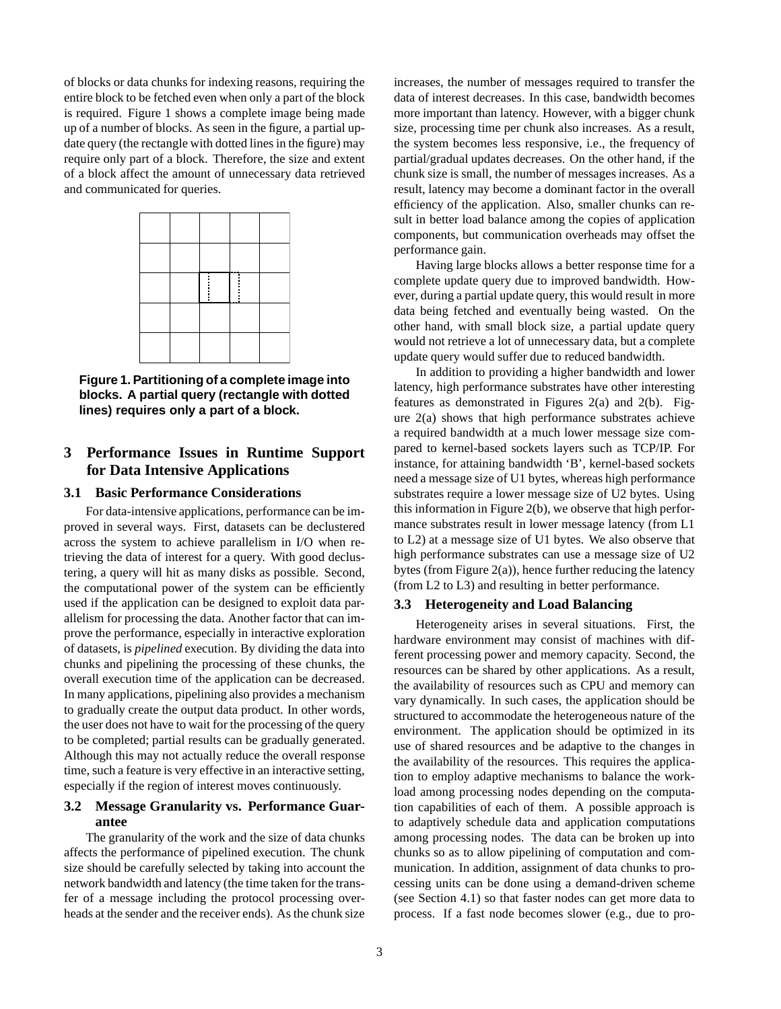of blocks or data chunks for indexing reasons, requiring the entire block to be fetched even when only a part of the block is required. Figure 1 shows a complete image being made up of a number of blocks. As seen in the figure, a partial update query (the rectangle with dotted lines in the figure) may require only part of a block. Therefore, the size and extent of a block affect the amount of unnecessary data retrieved and communicated for queries.



**Figure 1. Partitioning of a complete image into blocks. A partial query (rectangle with dotted lines) requires only a part of a block.**

## **3 Performance Issues in Runtime Support for Data Intensive Applications**

#### **3.1 Basic Performance Considerations**

For data-intensive applications, performance can be improved in several ways. First, datasets can be declustered across the system to achieve parallelism in I/O when retrieving the data of interest for a query. With good declustering, a query will hit as many disks as possible. Second, the computational power of the system can be efficiently used if the application can be designed to exploit data parallelism for processing the data. Another factor that can improve the performance, especially in interactive exploration of datasets, is *pipelined* execution. By dividing the data into chunks and pipelining the processing of these chunks, the overall execution time of the application can be decreased. In many applications, pipelining also provides a mechanism to gradually create the output data product. In other words, the user does not have to wait for the processing of the query to be completed; partial results can be gradually generated. Although this may not actually reduce the overall response time, such a feature is very effective in an interactive setting, especially if the region of interest moves continuously.

## **3.2 Message Granularity vs. Performance Guarantee**

The granularity of the work and the size of data chunks affects the performance of pipelined execution. The chunk size should be carefully selected by taking into account the network bandwidth and latency (the time taken for the transfer of a message including the protocol processing overheads at the sender and the receiver ends). As the chunk size increases, the number of messages required to transfer the data of interest decreases. In this case, bandwidth becomes more important than latency. However, with a bigger chunk size, processing time per chunk also increases. As a result, the system becomes less responsive, i.e., the frequency of partial/gradual updates decreases. On the other hand, if the chunk size is small, the number of messages increases. As a result, latency may become a dominant factor in the overall efficiency of the application. Also, smaller chunks can result in better load balance among the copies of application components, but communication overheads may offset the performance gain.

Having large blocks allows a better response time for a complete update query due to improved bandwidth. However, during a partial update query, this would result in more data being fetched and eventually being wasted. On the other hand, with small block size, a partial update query would not retrieve a lot of unnecessary data, but a complete update query would suffer due to reduced bandwidth.

In addition to providing a higher bandwidth and lower latency, high performance substrates have other interesting features as demonstrated in Figures 2(a) and 2(b). Figure 2(a) shows that high performance substrates achieve a required bandwidth at a much lower message size compared to kernel-based sockets layers such as TCP/IP. For instance, for attaining bandwidth 'B', kernel-based sockets need a message size of U1 bytes, whereas high performance substrates require a lower message size of U2 bytes. Using this information in Figure 2(b), we observe that high performance substrates result in lower message latency (from L1 to L2) at a message size of U1 bytes. We also observe that high performance substrates can use a message size of U2 bytes (from Figure  $2(a)$ ), hence further reducing the latency (from L2 to L3) and resulting in better performance.

### **3.3 Heterogeneity and Load Balancing**

Heterogeneity arises in several situations. First, the hardware environment may consist of machines with different processing power and memory capacity. Second, the resources can be shared by other applications. As a result, the availability of resources such as CPU and memory can vary dynamically. In such cases, the application should be structured to accommodate the heterogeneous nature of the environment. The application should be optimized in its use of shared resources and be adaptive to the changes in the availability of the resources. This requires the application to employ adaptive mechanisms to balance the workload among processing nodes depending on the computation capabilities of each of them. A possible approach is to adaptively schedule data and application computations among processing nodes. The data can be broken up into chunks so as to allow pipelining of computation and communication. In addition, assignment of data chunks to processing units can be done using a demand-driven scheme (see Section 4.1) so that faster nodes can get more data to process. If a fast node becomes slower (e.g., due to pro-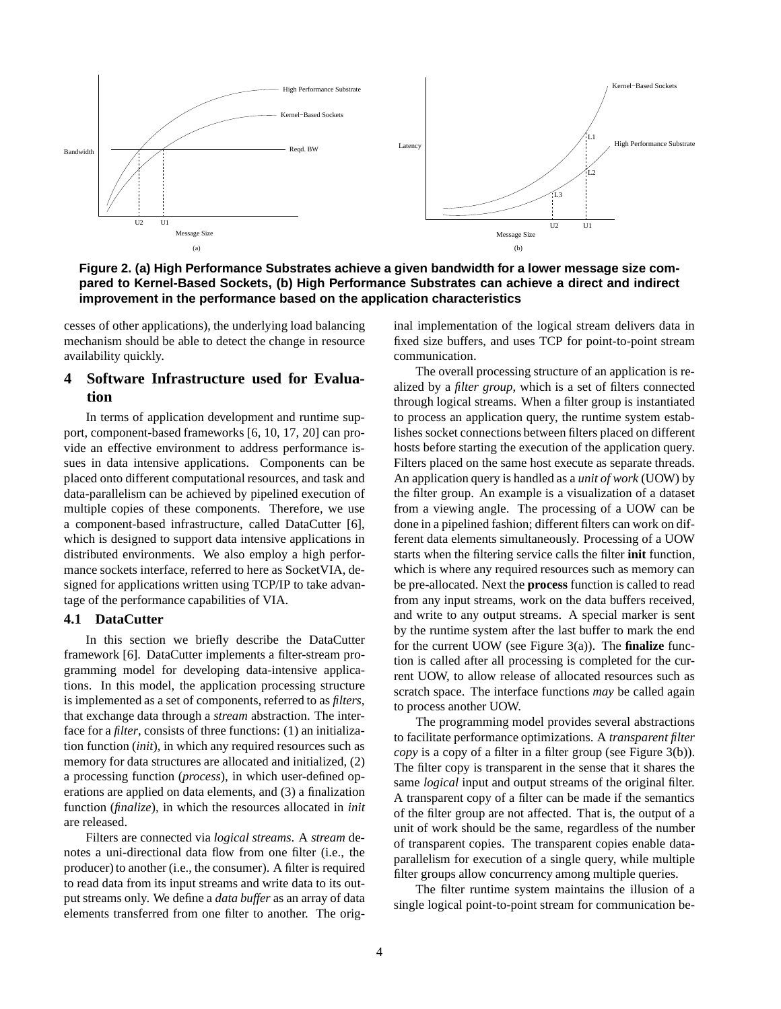

**Figure 2. (a) High Performance Substrates achieve a given bandwidth for a lower message size compared to Kernel-Based Sockets, (b) High Performance Substrates can achieve a direct and indirect improvement in the performance based on the application characteristics**

cesses of other applications), the underlying load balancing mechanism should be able to detect the change in resource availability quickly.

## **4 Software Infrastructure used for Evaluation**

In terms of application development and runtime support, component-based frameworks [6, 10, 17, 20] can provide an effective environment to address performance issues in data intensive applications. Components can be placed onto different computational resources, and task and data-parallelism can be achieved by pipelined execution of multiple copies of these components. Therefore, we use a component-based infrastructure, called DataCutter [6], which is designed to support data intensive applications in distributed environments. We also employ a high performance sockets interface, referred to here as SocketVIA, designed for applications written using TCP/IP to take advantage of the performance capabilities of VIA.

#### **4.1 DataCutter**

In this section we briefly describe the DataCutter framework [6]. DataCutter implements a filter-stream programming model for developing data-intensive applications. In this model, the application processing structure is implemented as a set of components, referred to as *filters*, that exchange data through a *stream* abstraction. The interface for a *filter*, consists of three functions: (1) an initialization function (*init*), in which any required resources such as memory for data structures are allocated and initialized, (2) a processing function (*process*), in which user-defined operations are applied on data elements, and (3) a finalization function (*finalize*), in which the resources allocated in *init* are released.

Filters are connected via *logical streams*. A *stream* denotes a uni-directional data flow from one filter (i.e., the producer) to another (i.e., the consumer). A filter is required to read data from its input streams and write data to its output streams only. We define a *data buffer* as an array of data elements transferred from one filter to another. The original implementation of the logical stream delivers data in fixed size buffers, and uses TCP for point-to-point stream communication.

The overall processing structure of an application is realized by a *filter group*, which is a set of filters connected through logical streams. When a filter group is instantiated to process an application query, the runtime system establishes socket connections between filters placed on different hosts before starting the execution of the application query. Filters placed on the same host execute as separate threads. An application query is handled as a *unit of work* (UOW) by the filter group. An example is a visualization of a dataset from a viewing angle. The processing of a UOW can be done in a pipelined fashion; different filters can work on different data elements simultaneously. Processing of a UOW starts when the filtering service calls the filter **init** function, which is where any required resources such as memory can be pre-allocated. Next the **process** function is called to read from any input streams, work on the data buffers received, and write to any output streams. A special marker is sent by the runtime system after the last buffer to mark the end for the current UOW (see Figure 3(a)). The **finalize** function is called after all processing is completed for the current UOW, to allow release of allocated resources such as scratch space. The interface functions *may* be called again to process another UOW.

The programming model provides several abstractions to facilitate performance optimizations. A *transparent filter copy* is a copy of a filter in a filter group (see Figure 3(b)). The filter copy is transparent in the sense that it shares the same *logical* input and output streams of the original filter. A transparent copy of a filter can be made if the semantics of the filter group are not affected. That is, the output of a unit of work should be the same, regardless of the number of transparent copies. The transparent copies enable dataparallelism for execution of a single query, while multiple filter groups allow concurrency among multiple queries.

The filter runtime system maintains the illusion of a single logical point-to-point stream for communication be-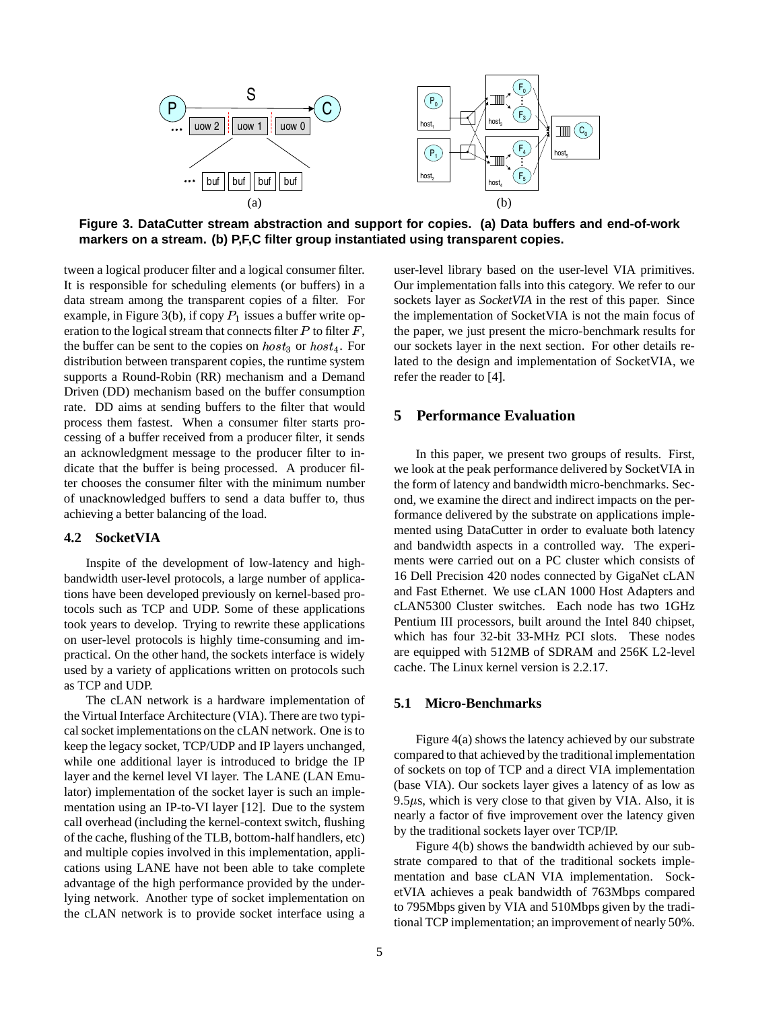

**Figure 3. DataCutter stream abstraction and support for copies. (a) Data buffers and end-of-work markers on a stream. (b) P,F,C filter group instantiated using transparent copies.**

tween a logical producer filter and a logical consumer filter. It is responsible for scheduling elements (or buffers) in a data stream among the transparent copies of a filter. For example, in Figure 3(b), if copy  $P_1$  issues a buffer write operation to the logical stream that connects filter  $P$  to filter  $F$ , the buffer can be sent to the copies on  $host_3$  or  $host_4$ . For distribution between transparent copies, the runtime system supports a Round-Robin (RR) mechanism and a Demand Driven (DD) mechanism based on the buffer consumption rate. DD aims at sending buffers to the filter that would process them fastest. When a consumer filter starts processing of a buffer received from a producer filter, it sends an acknowledgment message to the producer filter to indicate that the buffer is being processed. A producer filter chooses the consumer filter with the minimum number of unacknowledged buffers to send a data buffer to, thus achieving a better balancing of the load.

#### **4.2 SocketVIA**

Inspite of the development of low-latency and highbandwidth user-level protocols, a large number of applications have been developed previously on kernel-based protocols such as TCP and UDP. Some of these applications took years to develop. Trying to rewrite these applications on user-level protocols is highly time-consuming and impractical. On the other hand, the sockets interface is widely used by a variety of applications written on protocols such as TCP and UDP.

The cLAN network is a hardware implementation of the Virtual Interface Architecture (VIA). There are two typical socket implementations on the cLAN network. One is to keep the legacy socket, TCP/UDP and IP layers unchanged, while one additional layer is introduced to bridge the IP layer and the kernel level VI layer. The LANE (LAN Emulator) implementation of the socket layer is such an implementation using an IP-to-VI layer [12]. Due to the system call overhead (including the kernel-context switch, flushing of the cache, flushing of the TLB, bottom-half handlers, etc) and multiple copies involved in this implementation, applications using LANE have not been able to take complete advantage of the high performance provided by the underlying network. Another type of socket implementation on the cLAN network is to provide socket interface using a

user-level library based on the user-level VIA primitives. Our implementation falls into this category. We refer to our sockets layer as *SocketVIA* in the rest of this paper. Since the implementation of SocketVIA is not the main focus of the paper, we just present the micro-benchmark results for our sockets layer in the next section. For other details related to the design and implementation of SocketVIA, we refer the reader to [4].

#### **5 Performance Evaluation**

In this paper, we present two groups of results. First, we look at the peak performance delivered by SocketVIA in the form of latency and bandwidth micro-benchmarks. Second, we examine the direct and indirect impacts on the performance delivered by the substrate on applications implemented using DataCutter in order to evaluate both latency and bandwidth aspects in a controlled way. The experiments were carried out on a PC cluster which consists of 16 Dell Precision 420 nodes connected by GigaNet cLAN and Fast Ethernet. We use cLAN 1000 Host Adapters and cLAN5300 Cluster switches. Each node has two 1GHz Pentium III processors, built around the Intel 840 chipset, which has four 32-bit 33-MHz PCI slots. These nodes are equipped with 512MB of SDRAM and 256K L2-level cache. The Linux kernel version is 2.2.17.

## **5.1 Micro-Benchmarks**

Figure 4(a) shows the latency achieved by our substrate compared to that achieved by the traditional implementation of sockets on top of TCP and a direct VIA implementation (base VIA). Our sockets layer gives a latency of as low as  $9.5\mu s$ , which is very close to that given by VIA. Also, it is nearly a factor of five improvement over the latency given by the traditional sockets layer over TCP/IP.

Figure 4(b) shows the bandwidth achieved by our substrate compared to that of the traditional sockets implementation and base cLAN VIA implementation. SocketVIA achieves a peak bandwidth of 763Mbps compared to 795Mbps given by VIA and 510Mbps given by the traditional TCP implementation; an improvement of nearly 50%.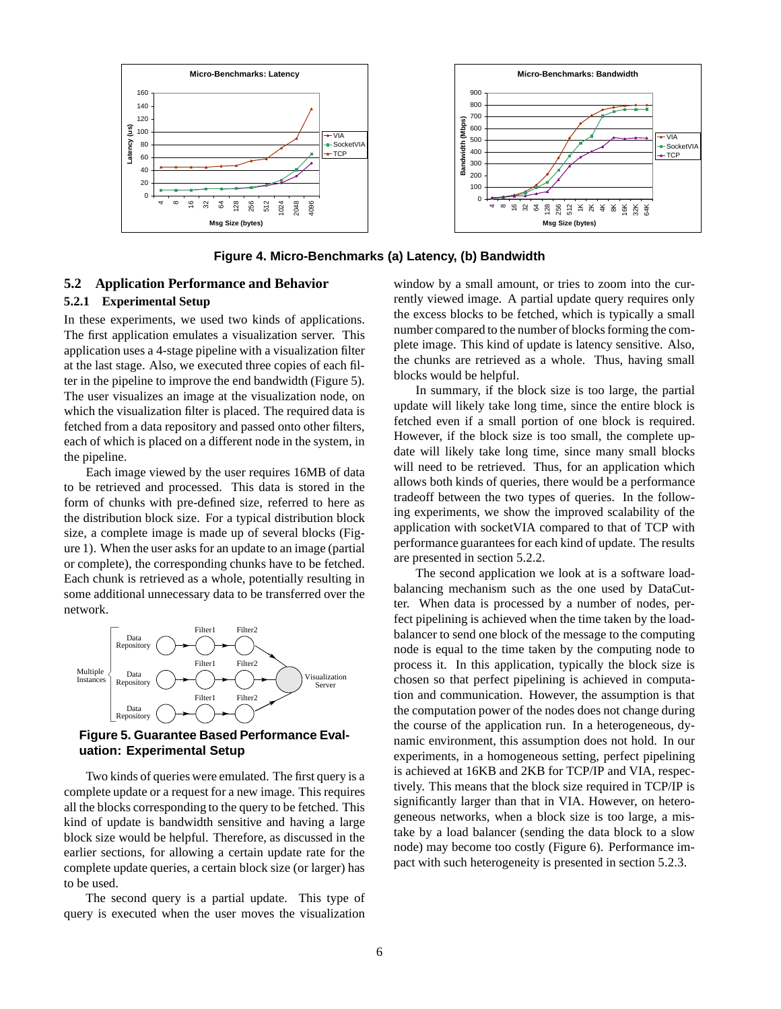

**Figure 4. Micro-Benchmarks (a) Latency, (b) Bandwidth**

#### **5.2 Application Performance and Behavior**

#### **5.2.1 Experimental Setup**

In these experiments, we used two kinds of applications. The first application emulates a visualization server. This application uses a 4-stage pipeline with a visualization filter at the last stage. Also, we executed three copies of each filter in the pipeline to improve the end bandwidth (Figure 5). The user visualizes an image at the visualization node, on which the visualization filter is placed. The required data is fetched from a data repository and passed onto other filters, each of which is placed on a different node in the system, in the pipeline.

Each image viewed by the user requires 16MB of data to be retrieved and processed. This data is stored in the form of chunks with pre-defined size, referred to here as the distribution block size. For a typical distribution block size, a complete image is made up of several blocks (Figure 1). When the user asks for an update to an image (partial or complete), the corresponding chunks have to be fetched. Each chunk is retrieved as a whole, potentially resulting in some additional unnecessary data to be transferred over the network.



**Figure 5. Guarantee Based Performance Evaluation: Experimental Setup**

Two kinds of queries were emulated. The first query is a complete update or a request for a new image. This requires all the blocks corresponding to the query to be fetched. This kind of update is bandwidth sensitive and having a large block size would be helpful. Therefore, as discussed in the earlier sections, for allowing a certain update rate for the complete update queries, a certain block size (or larger) has to be used.

The second query is a partial update. This type of query is executed when the user moves the visualization

window by a small amount, or tries to zoom into the currently viewed image. A partial update query requires only the excess blocks to be fetched, which is typically a small number compared to the number of blocks forming the complete image. This kind of update is latency sensitive. Also, the chunks are retrieved as a whole. Thus, having small blocks would be helpful.

In summary, if the block size is too large, the partial update will likely take long time, since the entire block is fetched even if a small portion of one block is required. However, if the block size is too small, the complete update will likely take long time, since many small blocks will need to be retrieved. Thus, for an application which allows both kinds of queries, there would be a performance tradeoff between the two types of queries. In the following experiments, we show the improved scalability of the application with socketVIA compared to that of TCP with performance guarantees for each kind of update. The results are presented in section 5.2.2.

The second application we look at is a software loadbalancing mechanism such as the one used by DataCutter. When data is processed by a number of nodes, perfect pipelining is achieved when the time taken by the loadbalancer to send one block of the message to the computing node is equal to the time taken by the computing node to process it. In this application, typically the block size is chosen so that perfect pipelining is achieved in computation and communication. However, the assumption is that the computation power of the nodes does not change during the course of the application run. In a heterogeneous, dynamic environment, this assumption does not hold. In our experiments, in a homogeneous setting, perfect pipelining is achieved at 16KB and 2KB for TCP/IP and VIA, respectively. This means that the block size required in TCP/IP is significantly larger than that in VIA. However, on heterogeneous networks, when a block size is too large, a mistake by a load balancer (sending the data block to a slow node) may become too costly (Figure 6). Performance impact with such heterogeneity is presented in section 5.2.3.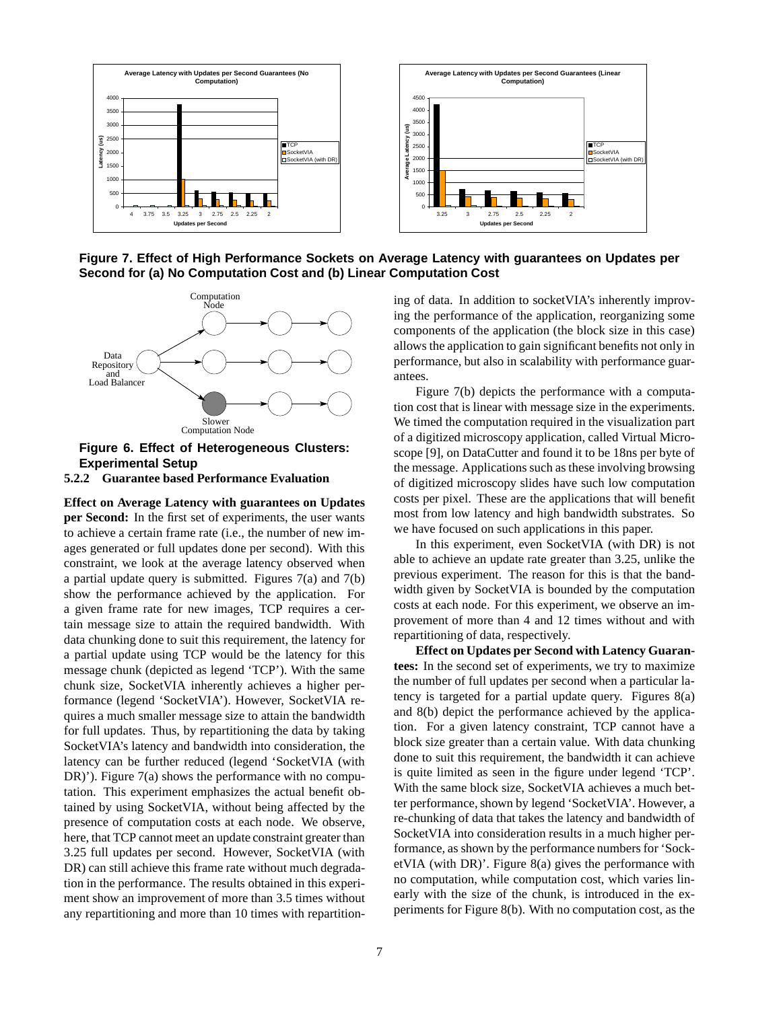

**Figure 7. Effect of High Performance Sockets on Average Latency with guarantees on Updates per Second for (a) No Computation Cost and (b) Linear Computation Cost**



## **Figure 6. Effect of Heterogeneous Clusters: Experimental Setup**

**5.2.2 Guarantee based Performance Evaluation**

**Effect on Average Latency with guarantees on Updates per Second:** In the first set of experiments, the user wants to achieve a certain frame rate (i.e., the number of new images generated or full updates done per second). With this constraint, we look at the average latency observed when a partial update query is submitted. Figures 7(a) and 7(b) show the performance achieved by the application. For a given frame rate for new images, TCP requires a certain message size to attain the required bandwidth. With data chunking done to suit this requirement, the latency for a partial update using TCP would be the latency for this message chunk (depicted as legend 'TCP'). With the same chunk size, SocketVIA inherently achieves a higher performance (legend 'SocketVIA'). However, SocketVIA requires a much smaller message size to attain the bandwidth for full updates. Thus, by repartitioning the data by taking SocketVIA's latency and bandwidth into consideration, the latency can be further reduced (legend 'SocketVIA (with DR)'). Figure 7(a) shows the performance with no computation. This experiment emphasizes the actual benefit obtained by using SocketVIA, without being affected by the presence of computation costs at each node. We observe, here, that TCP cannot meet an update constraint greater than 3.25 full updates per second. However, SocketVIA (with DR) can still achieve this frame rate without much degradation in the performance. The results obtained in this experiment show an improvement of more than 3.5 times without any repartitioning and more than 10 times with repartitioning of data. In addition to socketVIA's inherently improving the performance of the application, reorganizing some components of the application (the block size in this case) allows the application to gain significant benefits not only in performance, but also in scalability with performance guarantees.

Figure 7(b) depicts the performance with a computation cost that is linear with message size in the experiments. We timed the computation required in the visualization part of a digitized microscopy application, called Virtual Microscope [9], on DataCutter and found it to be 18ns per byte of the message. Applications such as these involving browsing of digitized microscopy slides have such low computation costs per pixel. These are the applications that will benefit most from low latency and high bandwidth substrates. So we have focused on such applications in this paper.

In this experiment, even SocketVIA (with DR) is not able to achieve an update rate greater than 3.25, unlike the previous experiment. The reason for this is that the bandwidth given by SocketVIA is bounded by the computation costs at each node. For this experiment, we observe an improvement of more than 4 and 12 times without and with repartitioning of data, respectively.

**Effect on Updates per Second with Latency Guarantees:** In the second set of experiments, we try to maximize the number of full updates per second when a particular latency is targeted for a partial update query. Figures 8(a) and 8(b) depict the performance achieved by the application. For a given latency constraint, TCP cannot have a block size greater than a certain value. With data chunking done to suit this requirement, the bandwidth it can achieve is quite limited as seen in the figure under legend 'TCP'. With the same block size, SocketVIA achieves a much better performance, shown by legend 'SocketVIA'. However, a re-chunking of data that takes the latency and bandwidth of SocketVIA into consideration results in a much higher performance, as shown by the performance numbers for 'SocketVIA (with DR)'. Figure 8(a) gives the performance with no computation, while computation cost, which varies linearly with the size of the chunk, is introduced in the experiments for Figure 8(b). With no computation cost, as the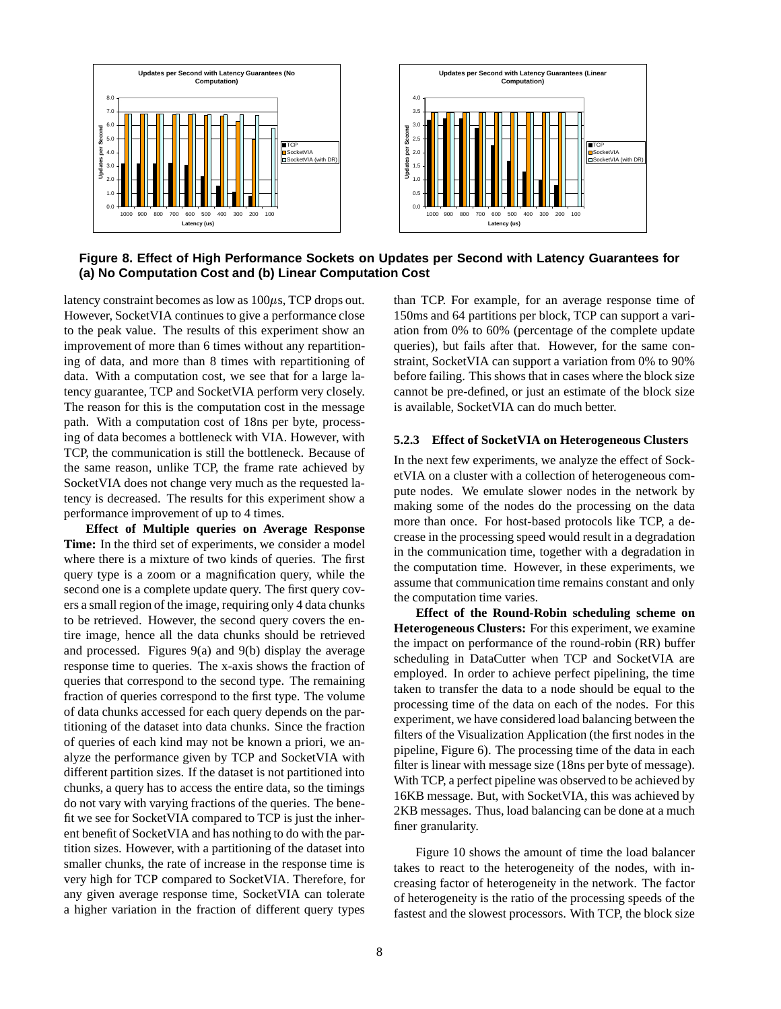

## **Figure 8. Effect of High Performance Sockets on Updates per Second with Latency Guarantees for (a) No Computation Cost and (b) Linear Computation Cost**

latency constraint becomes as low as  $100\mu s$ , TCP drops out. However, SocketVIA continues to give a performance close to the peak value. The results of this experiment show an improvement of more than 6 times without any repartitioning of data, and more than 8 times with repartitioning of data. With a computation cost, we see that for a large latency guarantee, TCP and SocketVIA perform very closely. The reason for this is the computation cost in the message path. With a computation cost of 18ns per byte, processing of data becomes a bottleneck with VIA. However, with TCP, the communication is still the bottleneck. Because of the same reason, unlike TCP, the frame rate achieved by SocketVIA does not change very much as the requested latency is decreased. The results for this experiment show a performance improvement of up to 4 times.

**Effect of Multiple queries on Average Response Time:** In the third set of experiments, we consider a model where there is a mixture of two kinds of queries. The first query type is a zoom or a magnification query, while the second one is a complete update query. The first query covers a small region of the image, requiring only 4 data chunks to be retrieved. However, the second query covers the entire image, hence all the data chunks should be retrieved and processed. Figures  $9(a)$  and  $9(b)$  display the average response time to queries. The x-axis shows the fraction of queries that correspond to the second type. The remaining fraction of queries correspond to the first type. The volume of data chunks accessed for each query depends on the partitioning of the dataset into data chunks. Since the fraction of queries of each kind may not be known a priori, we analyze the performance given by TCP and SocketVIA with different partition sizes. If the dataset is not partitioned into chunks, a query has to access the entire data, so the timings do not vary with varying fractions of the queries. The benefit we see for SocketVIA compared to TCP is just the inherent benefit of SocketVIA and has nothing to do with the partition sizes. However, with a partitioning of the dataset into smaller chunks, the rate of increase in the response time is very high for TCP compared to SocketVIA. Therefore, for any given average response time, SocketVIA can tolerate a higher variation in the fraction of different query types than TCP. For example, for an average response time of 150ms and 64 partitions per block, TCP can support a variation from 0% to 60% (percentage of the complete update queries), but fails after that. However, for the same constraint, SocketVIA can support a variation from 0% to 90% before failing. This shows that in cases where the block size cannot be pre-defined, or just an estimate of the block size is available, SocketVIA can do much better.

#### **5.2.3 Effect of SocketVIA on Heterogeneous Clusters**

In the next few experiments, we analyze the effect of SocketVIA on a cluster with a collection of heterogeneous compute nodes. We emulate slower nodes in the network by making some of the nodes do the processing on the data more than once. For host-based protocols like TCP, a decrease in the processing speed would result in a degradation in the communication time, together with a degradation in the computation time. However, in these experiments, we assume that communication time remains constant and only the computation time varies.

**Effect of the Round-Robin scheduling scheme on Heterogeneous Clusters:** For this experiment, we examine the impact on performance of the round-robin (RR) buffer scheduling in DataCutter when TCP and SocketVIA are employed. In order to achieve perfect pipelining, the time taken to transfer the data to a node should be equal to the processing time of the data on each of the nodes. For this experiment, we have considered load balancing between the filters of the Visualization Application (the first nodes in the pipeline, Figure 6). The processing time of the data in each filter is linear with message size (18ns per byte of message). With TCP, a perfect pipeline was observed to be achieved by 16KB message. But, with SocketVIA, this was achieved by 2KB messages. Thus, load balancing can be done at a much finer granularity.

Figure 10 shows the amount of time the load balancer takes to react to the heterogeneity of the nodes, with increasing factor of heterogeneity in the network. The factor of heterogeneity is the ratio of the processing speeds of the fastest and the slowest processors. With TCP, the block size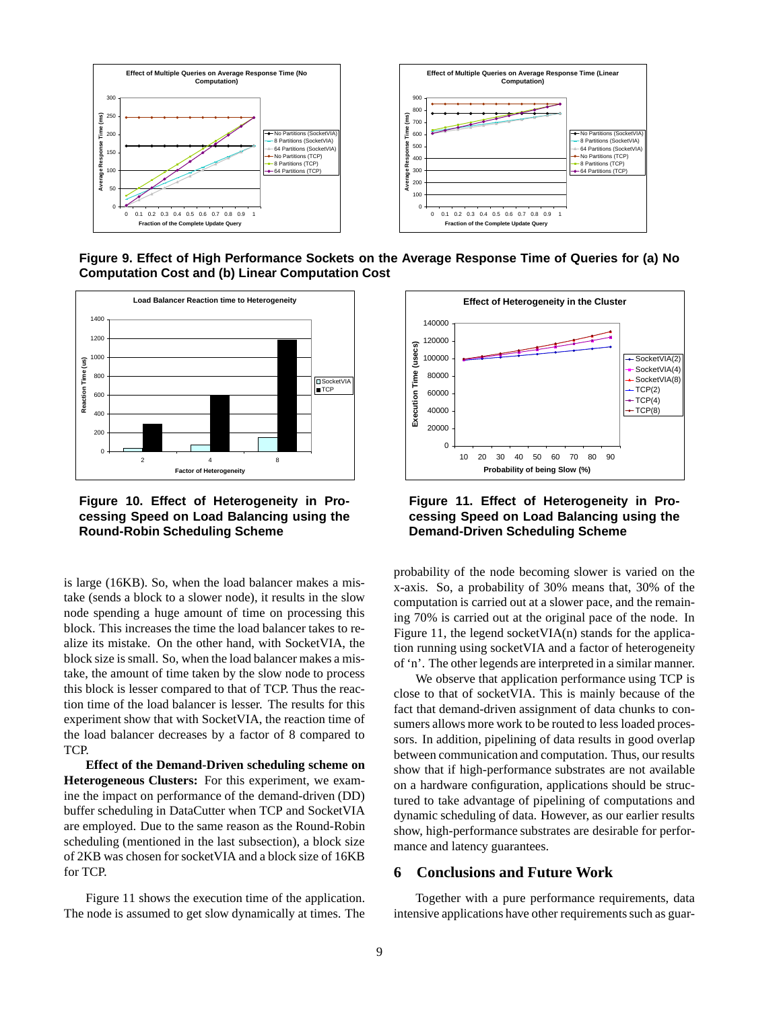

**Figure 9. Effect of High Performance Sockets on the Average Response Time of Queries for (a) No Computation Cost and (b) Linear Computation Cost**



**Figure 10. Effect of Heterogeneity in Processing Speed on Load Balancing using the Round-Robin Scheduling Scheme**

is large (16KB). So, when the load balancer makes a mistake (sends a block to a slower node), it results in the slow node spending a huge amount of time on processing this block. This increases the time the load balancer takes to realize its mistake. On the other hand, with SocketVIA, the block size is small. So, when the load balancer makes a mistake, the amount of time taken by the slow node to process this block is lesser compared to that of TCP. Thus the reaction time of the load balancer is lesser. The results for this experiment show that with SocketVIA, the reaction time of the load balancer decreases by a factor of 8 compared to TCP.

**Effect of the Demand-Driven scheduling scheme on Heterogeneous Clusters:** For this experiment, we examine the impact on performance of the demand-driven (DD) buffer scheduling in DataCutter when TCP and SocketVIA are employed. Due to the same reason as the Round-Robin scheduling (mentioned in the last subsection), a block size of 2KB was chosen for socketVIA and a block size of 16KB for TCP.

Figure 11 shows the execution time of the application. The node is assumed to get slow dynamically at times. The



**Figure 11. Effect of Heterogeneity in Processing Speed on Load Balancing using the Demand-Driven Scheduling Scheme**

probability of the node becoming slower is varied on the x-axis. So, a probability of 30% means that, 30% of the computation is carried out at a slower pace, and the remaining 70% is carried out at the original pace of the node. In Figure 11, the legend socket VIA(n) stands for the application running using socketVIA and a factor of heterogeneity of 'n'. The other legends are interpreted in a similar manner.

We observe that application performance using TCP is close to that of socketVIA. This is mainly because of the fact that demand-driven assignment of data chunks to consumers allows more work to be routed to less loaded processors. In addition, pipelining of data results in good overlap between communication and computation. Thus, our results show that if high-performance substrates are not available on a hardware configuration, applications should be structured to take advantage of pipelining of computations and dynamic scheduling of data. However, as our earlier results show, high-performance substrates are desirable for performance and latency guarantees.

### **6 Conclusions and Future Work**

Together with a pure performance requirements, data intensive applications have other requirements such as guar-